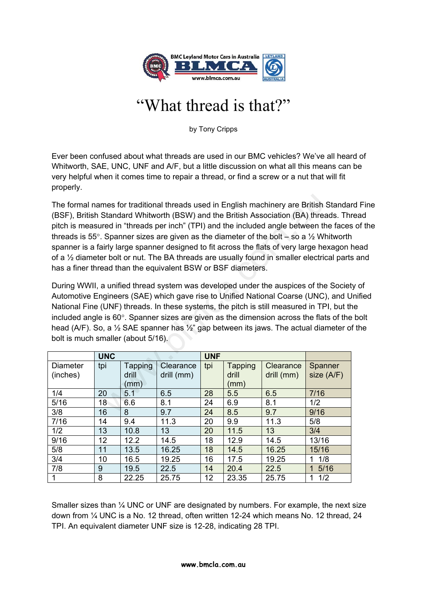

## "What thread is that?"

by Tony Cripps

Ever been confused about what threads are used in our BMC vehicles? We've all heard of Whitworth, SAE, UNC, UNF and A/F, but a little discussion on what all this means can be very helpful when it comes time to repair a thread, or find a screw or a nut that will fit properly.

The formal names for traditional threads used in English machinery are British Standard Fine (BSF), British Standard Whitworth (BSW) and the British Association (BA) threads. Thread pitch is measured in "threads per inch" (TPI) and the included angle between the faces of the threads is 55 $^{\circ}$ . Spanner sizes are given as the diameter of the bolt – so a  $\frac{1}{2}$  Whitworth spanner is a fairly large spanner designed to fit across the flats of very large hexagon head of a ½ diameter bolt or nut. The BA threads are usually found in smaller electrical parts and has a finer thread than the equivalent BSW or BSF diameters. mes for traditional threads used in English machinery are British<br>
Standard Whitworth (BSW) and the British Association (BA) three<br>
ed in "threads per inch" (TPI) and the included angle between the<br>
Spanner sizes are given

During WWII, a unified thread system was developed under the auspices of the Society of Automotive Engineers (SAE) which gave rise to Unified National Coarse (UNC), and Unified National Fine (UNF) threads. In these systems, the pitch is still measured in TPI, but the included angle is  $60^\circ$ . Spanner sizes are given as the dimension across the flats of the bolt head (A/F). So, a  $\frac{1}{2}$  SAE spanner has  $\frac{1}{2}$  gap between its jaws. The actual diameter of the bolt is much smaller (about 5/16).

|                             | <b>UNC</b> |                          |                         | <b>UNF</b> |                                 |                         |                         |
|-----------------------------|------------|--------------------------|-------------------------|------------|---------------------------------|-------------------------|-------------------------|
| <b>Diameter</b><br>(inches) | tpi        | Tapping<br>drill<br>(mm) | Clearance<br>drill (mm) | tpi        | <b>Tapping</b><br>drill<br>(mm) | Clearance<br>drill (mm) | Spanner<br>size $(A/F)$ |
| 1/4                         | 20         | 5.1                      | 6.5                     | 28         | 5.5                             | 6.5                     | 7/16                    |
| 5/16                        | 18         | 6.6                      | 8.1                     | 24         | 6.9                             | 8.1                     | 1/2                     |
| 3/8                         | 16         | 8                        | 9.7                     | 24         | 8.5                             | 9.7                     | 9/16                    |
| 7/16                        | 14         | 9.4                      | 11.3                    | 20         | 9.9                             | 11.3                    | 5/8                     |
| 1/2                         | 13         | 10.8                     | 13                      | 20         | 11.5                            | 13                      | 3/4                     |
| 9/16                        | 12         | 12.2                     | 14.5                    | 18         | 12.9                            | 14.5                    | 13/16                   |
| 5/8                         | 11         | 13.5                     | 16.25                   | 18         | 14.5                            | 16.25                   | 15/16                   |
| 3/4                         | 10         | 16.5                     | 19.25                   | 16         | 17.5                            | 19.25                   | 1/8                     |
| 7/8                         | 9          | 19.5                     | 22.5                    | 14         | 20.4                            | 22.5                    | 5/16                    |
|                             | 8          | 22.25                    | 25.75                   | 12         | 23.35                           | 25.75                   | 1/2                     |

Smaller sizes than ¼ UNC or UNF are designated by numbers. For example, the next size down from ¼ UNC is a No. 12 thread, often written 12-24 which means No. 12 thread, 24 TPI. An equivalent diameter UNF size is 12-28, indicating 28 TPI.